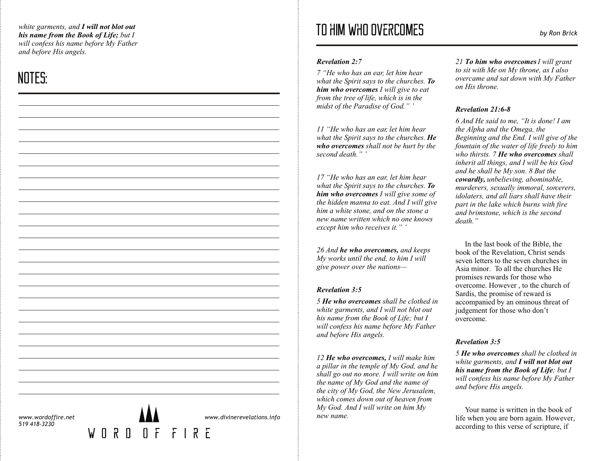*white garments, and I will not blot out his name from the Book of Life; but I will confess his name before My Father and before His angels.* 

# NOTES:

#### *Revelation 2:7*

*7 "He who has an ear, let him hear what the Spirit says to the churches. To him who overcomes I will give to eat from the tree of life, which is in the midst of the Paradise of God." '*

*11 "He who has an ear, let him hear what the Spirit says to the churches. He who overcomes shall not be hurt by the second death." '*

*17 "He who has an ear, let him hear what the Spirit says to the churches. To him who overcomes I will give some of the hidden manna to eat. And I will give him a white stone, and on the stone a new name written which no one knows except him who receives it." '*

*26 And he who overcomes, and keeps My works until the end, to him I will give power over the nations—*

## *Revelation 3:5*

*5 He who overcomes shall be clothed in white garments, and I will not blot out his name from the Book of Life; but I will confess his name before My Father and before His angels.*

*12 He who overcomes, I will make him a pillar in the temple of My God, and he shall go out no more. I will write on him the name of My God and the name of the city of My God, the New Jerusalem, which comes down out of heaven from My God. And I will write on him My new name.*

*21 To him who overcomes I will grant to sit with Me on My throne, as I also overcame and sat down with My Father on His throne.*

# *Revelation 21:6-8*

*6 And He said to me, "It is done! I am the Alpha and the Omega, the Beginning and the End. I will give of the fountain of the water of life freely to him who thirsts. 7 He who overcomes shall inherit all things, and I will be his God and he shall be My son. 8 But the cowardly, unbelieving, abominable, murderers, sexually immoral, sorcerers, idolaters, and all liars shall have their part in the lake which burns with fire and brimstone, which is the second death."*

In the last book of the Bible, the book of the Revelation, Christ sends seven letters to the seven churches in Asia minor. To all the churches He promises rewards for those who overcome. However , to the church of Sardis, the promise of reward is accompanied by an ominous threat of judgement for those who don't overcome.

# *Revelation 3:5*

*5 He who overcomes shall be clothed in white garments, and I will not blot out his name from the Book of Life; but I will confess his name before My Father and before His angels.* 

Your name is written in the book of life when you are born again. However, according to this verse of scripture, if

*www.wordoffire.net 519 418-3230*



*www.divinerevelations.info*